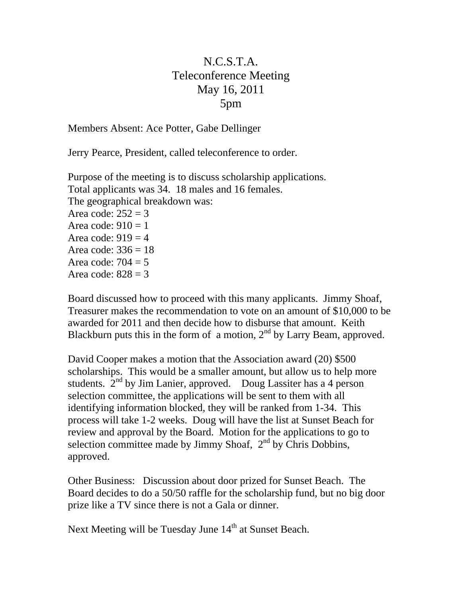## N.C.S.T.A. Teleconference Meeting May 16, 2011 5pm

Members Absent: Ace Potter, Gabe Dellinger

Jerry Pearce, President, called teleconference to order.

Purpose of the meeting is to discuss scholarship applications. Total applicants was 34. 18 males and 16 females. The geographical breakdown was: Area code:  $252 = 3$ Area code:  $910 = 1$ Area code:  $919 = 4$ Area code:  $336 = 18$ Area code:  $704 = 5$ Area code:  $828 = 3$ 

Board discussed how to proceed with this many applicants. Jimmy Shoaf, Treasurer makes the recommendation to vote on an amount of \$10,000 to be awarded for 2011 and then decide how to disburse that amount. Keith Blackburn puts this in the form of a motion,  $2<sup>nd</sup>$  by Larry Beam, approved.

David Cooper makes a motion that the Association award (20) \$500 scholarships. This would be a smaller amount, but allow us to help more students.  $2<sup>nd</sup>$  by Jim Lanier, approved. Doug Lassiter has a 4 person selection committee, the applications will be sent to them with all identifying information blocked, they will be ranked from 1-34. This process will take 1-2 weeks. Doug will have the list at Sunset Beach for review and approval by the Board. Motion for the applications to go to selection committee made by Jimmy Shoaf,  $2<sup>nd</sup>$  by Chris Dobbins, approved.

Other Business: Discussion about door prized for Sunset Beach. The Board decides to do a 50/50 raffle for the scholarship fund, but no big door prize like a TV since there is not a Gala or dinner.

Next Meeting will be Tuesday June 14<sup>th</sup> at Sunset Beach.